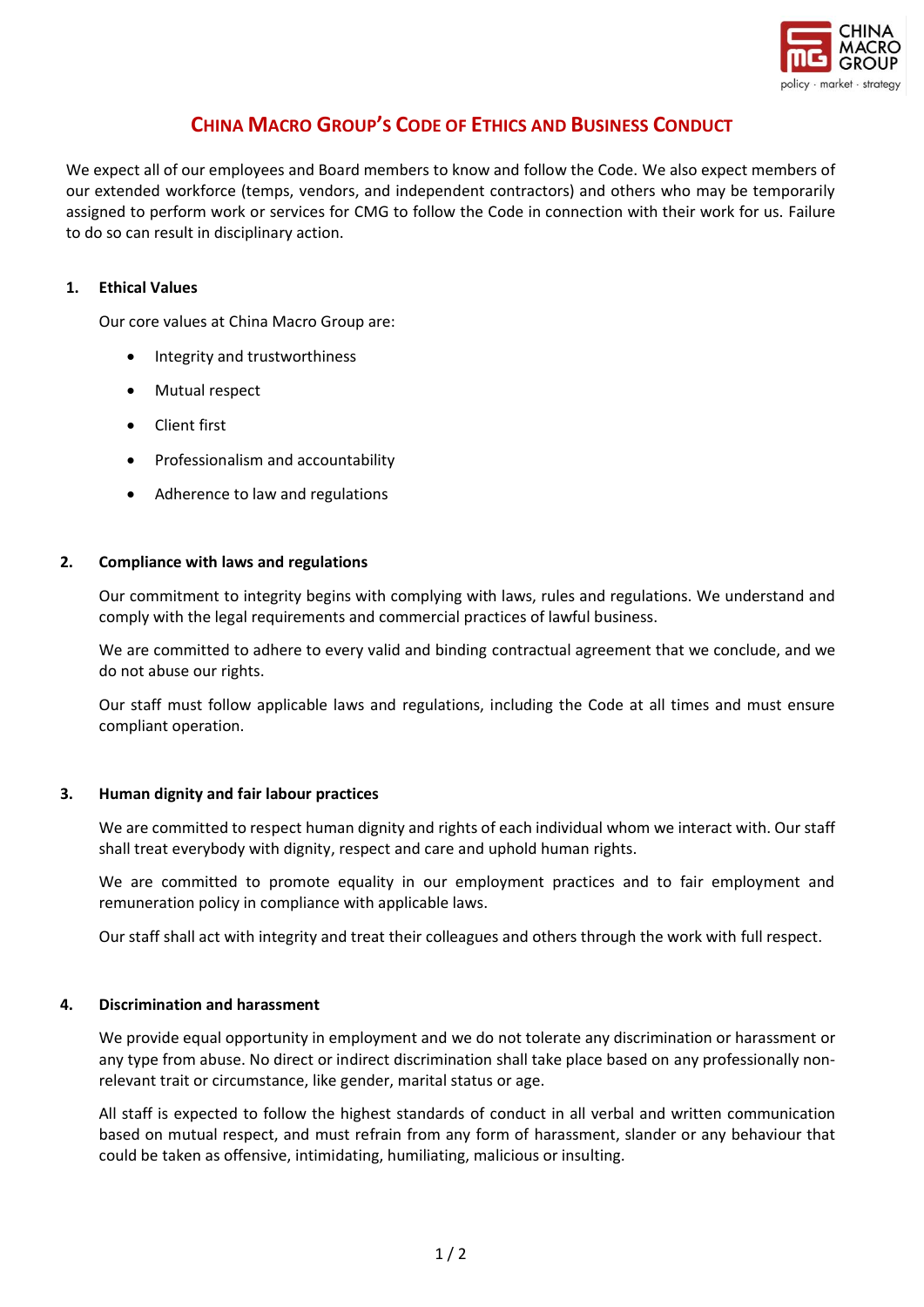

# **CHINA MACRO GROUP'S CODE OF ETHICS AND BUSINESS CONDUCT**

We expect all of our employees and Board members to know and follow the Code. We also expect members of our extended workforce (temps, vendors, and independent contractors) and others who may be temporarily assigned to perform work or services for CMG to follow the Code in connection with their work for us. Failure to do so can result in disciplinary action.

## **1. Ethical Values**

Our core values at China Macro Group are:

- Integrity and trustworthiness
- Mutual respect
- Client first
- Professionalism and accountability
- Adherence to law and regulations

## **2. Compliance with laws and regulations**

Our commitment to integrity begins with complying with laws, rules and regulations. We understand and comply with the legal requirements and commercial practices of lawful business.

We are committed to adhere to every valid and binding contractual agreement that we conclude, and we do not abuse our rights.

Our staff must follow applicable laws and regulations, including the Code at all times and must ensure compliant operation.

## **3. Human dignity and fair labour practices**

We are committed to respect human dignity and rights of each individual whom we interact with. Our staff shall treat everybody with dignity, respect and care and uphold human rights.

We are committed to promote equality in our employment practices and to fair employment and remuneration policy in compliance with applicable laws.

Our staff shall act with integrity and treat their colleagues and others through the work with full respect.

## **4. Discrimination and harassment**

We provide equal opportunity in employment and we do not tolerate any discrimination or harassment or any type from abuse. No direct or indirect discrimination shall take place based on any professionally nonrelevant trait or circumstance, like gender, marital status or age.

All staff is expected to follow the highest standards of conduct in all verbal and written communication based on mutual respect, and must refrain from any form of harassment, slander or any behaviour that could be taken as offensive, intimidating, humiliating, malicious or insulting.